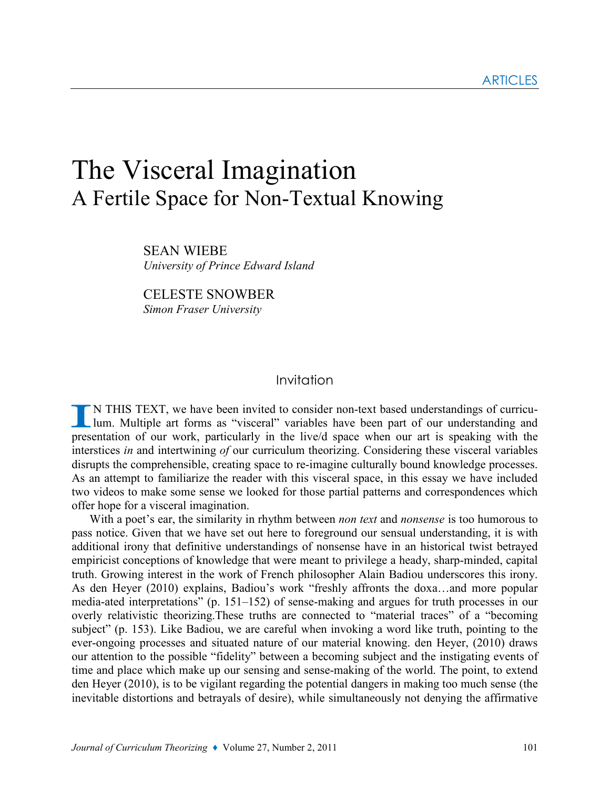# The Visceral Imagination A Fertile Space for Non-Textual Knowing

SEAN WIEBE University of Prince Edward Island

CELESTE SNOWBER Simon Fraser University

## Invitation

N THIS TEXT, we have been invited to consider non-text based understandings of curriculum. Multiple art forms as "visceral" variables have been part of our understanding and presentation of our work, particularly in the live/d space when our art is speaking with the interstices in and intertwining of our curriculum theorizing. Considering these visceral variables disrupts the comprehensible, creating space to re-imagine culturally bound knowledge processes. As an attempt to familiarize the reader with this visceral space, in this essay we have included two videos to make some sense we looked for those partial patterns and correspondences which offer hope for a visceral imagination.

With a poet's ear, the similarity in rhythm between non text and nonsense is too humorous to pass notice. Given that we have set out here to foreground our sensual understanding, it is with additional irony that definitive understandings of nonsense have in an historical twist betrayed empiricist conceptions of knowledge that were meant to privilege a heady, sharp-minded, capital truth. Growing interest in the work of French philosopher Alain Badiou underscores this irony. As den Heyer (2010) explains, Badiou's work "freshly affronts the doxa…and more popular media-ated interpretations" (p. 151–152) of sense-making and argues for truth processes in our overly relativistic theorizing.These truths are connected to "material traces" of a "becoming subject" (p. 153). Like Badiou, we are careful when invoking a word like truth, pointing to the ever-ongoing processes and situated nature of our material knowing. den Heyer, (2010) draws our attention to the possible "fidelity" between a becoming subject and the instigating events of time and place which make up our sensing and sense-making of the world. The point, to extend den Heyer (2010), is to be vigilant regarding the potential dangers in making too much sense (the inevitable distortions and betrayals of desire), while simultaneously not denying the affirmative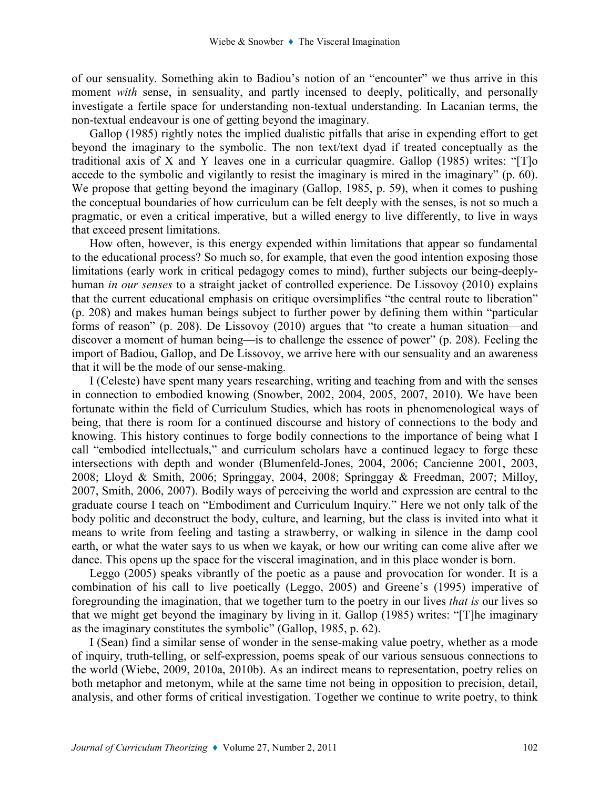of our sensuality. Something akin to Badiou's notion of an "encounter" we thus arrive in this moment *with* sense, in sensuality, and partly incensed to deeply, politically, and personally investigate a fertile space for understanding non-textual understanding. In Lacanian terms, the non-textual endeavour is one of getting beyond the imaginary.

Gallop (1985) rightly notes the implied dualistic pitfalls that arise in expending effort to get beyond the imaginary to the symbolic. The non text/text dyad if treated conceptually as the traditional axis of X and Y leaves one in a curricular quagmire. Gallop (1985) writes: "[T]o accede to the symbolic and vigilantly to resist the imaginary is mired in the imaginary" (p. 60). We propose that getting beyond the imaginary (Gallop, 1985, p. 59), when it comes to pushing the conceptual boundaries of how curriculum can be felt deeply with the senses, is not so much a pragmatic, or even a critical imperative, but a willed energy to live differently, to live in ways that exceed present limitations.

How often, however, is this energy expended within limitations that appear so fundamental to the educational process? So much so, for example, that even the good intention exposing those limitations (early work in critical pedagogy comes to mind), further subjects our being-deeplyhuman *in our senses* to a straight jacket of controlled experience. De Lissovoy (2010) explains that the current educational emphasis on critique oversimplifies "the central route to liberation" (p. 208) and makes human beings subject to further power by defining them within "particular forms of reason" (p. 208). De Lissovoy (2010) argues that "to create a human situation—and discover a moment of human being—is to challenge the essence of power" (p. 208). Feeling the import of Badiou, Gallop, and De Lissovoy, we arrive here with our sensuality and an awareness that it will be the mode of our sense-making.

I (Celeste) have spent many years researching, writing and teaching from and with the senses in connection to embodied knowing (Snowber, 2002, 2004, 2005, 2007, 2010). We have been fortunate within the field of Curriculum Studies, which has roots in phenomenological ways of being, that there is room for a continued discourse and history of connections to the body and knowing. This history continues to forge bodily connections to the importance of being what I call "embodied intellectuals," and curriculum scholars have a continued legacy to forge these intersections with depth and wonder (Blumenfeld-Jones, 2004, 2006; Cancienne 2001, 2003, 2008; Lloyd & Smith, 2006; Springgay, 2004, 2008; Springgay & Freedman, 2007; Milloy, 2007, Smith, 2006, 2007). Bodily ways of perceiving the world and expression are central to the graduate course I teach on "Embodiment and Curriculum Inquiry." Here we not only talk of the body politic and deconstruct the body, culture, and learning, but the class is invited into what it means to write from feeling and tasting a strawberry, or walking in silence in the damp cool earth, or what the water says to us when we kayak, or how our writing can come alive after we dance. This opens up the space for the visceral imagination, and in this place wonder is born.

Leggo (2005) speaks vibrantly of the poetic as a pause and provocation for wonder. It is a combination of his call to live poetically (Leggo, 2005) and Greene's (1995) imperative of foregrounding the imagination, that we together turn to the poetry in our lives that is our lives so that we might get beyond the imaginary by living in it. Gallop (1985) writes: "[T]he imaginary as the imaginary constitutes the symbolic" (Gallop, 1985, p. 62).

I (Sean) find a similar sense of wonder in the sense-making value poetry, whether as a mode of inquiry, truth-telling, or self-expression, poems speak of our various sensuous connections to the world (Wiebe, 2009, 2010a, 2010b). As an indirect means to representation, poetry relies on both metaphor and metonym, while at the same time not being in opposition to precision, detail, analysis, and other forms of critical investigation. Together we continue to write poetry, to think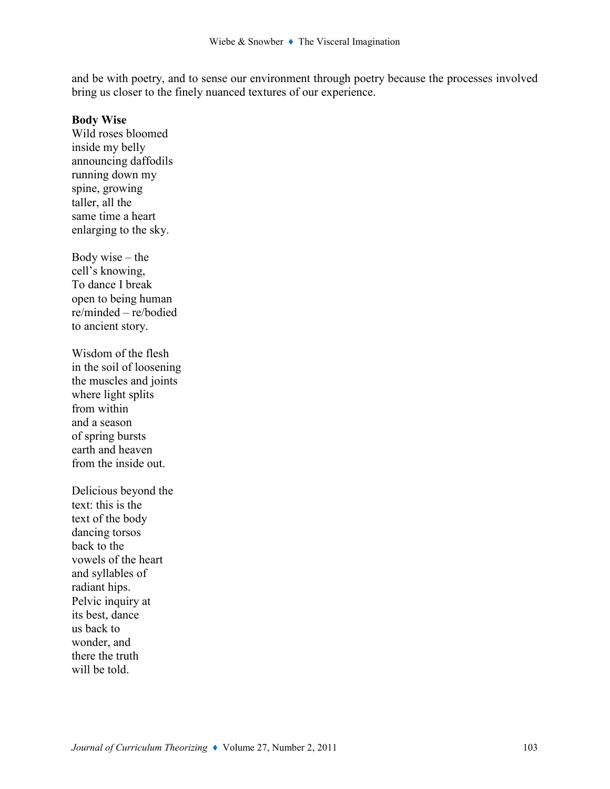and be with poetry, and to sense our environment through poetry because the processes involved bring us closer to the finely nuanced textures of our experience.

#### Body Wise

Wild roses bloomed inside my belly announcing daffodils running down my spine, growing taller, all the same time a heart enlarging to the sky.

Body wise  $-$  the cell's knowing, To dance I break open to being human re/minded – re/bodied to ancient story.

Wisdom of the flesh in the soil of loosening the muscles and joints where light splits from within and a season of spring bursts earth and heaven from the inside out.

Delicious beyond the text: this is the text of the body dancing torsos back to the vowels of the heart and syllables of radiant hips. Pelvic inquiry at its best, dance us back to wonder, and there the truth will be told.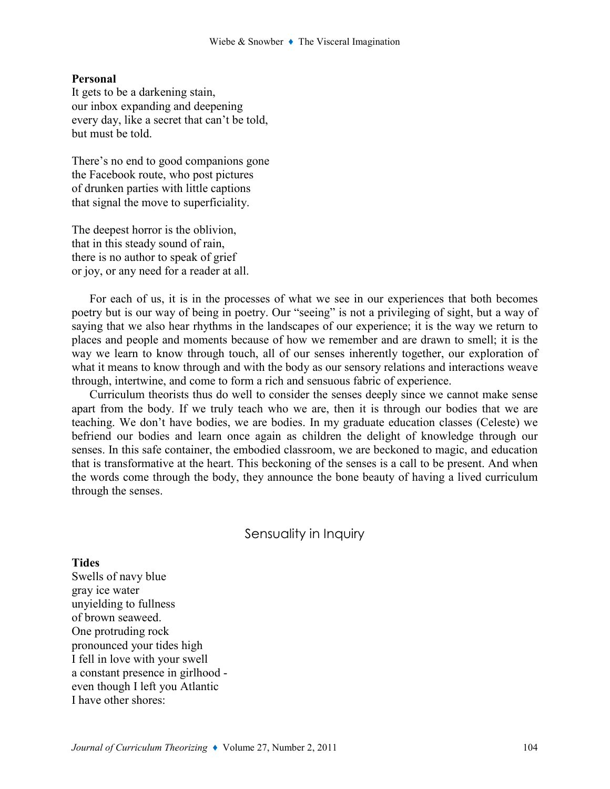#### Personal

It gets to be a darkening stain, our inbox expanding and deepening every day, like a secret that can't be told, but must be told.

There's no end to good companions gone the Facebook route, who post pictures of drunken parties with little captions that signal the move to superficiality.

The deepest horror is the oblivion, that in this steady sound of rain, there is no author to speak of grief or joy, or any need for a reader at all.

For each of us, it is in the processes of what we see in our experiences that both becomes poetry but is our way of being in poetry. Our "seeing" is not a privileging of sight, but a way of saying that we also hear rhythms in the landscapes of our experience; it is the way we return to places and people and moments because of how we remember and are drawn to smell; it is the way we learn to know through touch, all of our senses inherently together, our exploration of what it means to know through and with the body as our sensory relations and interactions weave through, intertwine, and come to form a rich and sensuous fabric of experience.

Curriculum theorists thus do well to consider the senses deeply since we cannot make sense apart from the body. If we truly teach who we are, then it is through our bodies that we are teaching. We don't have bodies, we are bodies. In my graduate education classes (Celeste) we befriend our bodies and learn once again as children the delight of knowledge through our senses. In this safe container, the embodied classroom, we are beckoned to magic, and education that is transformative at the heart. This beckoning of the senses is a call to be present. And when the words come through the body, they announce the bone beauty of having a lived curriculum through the senses.

## Sensuality in Inquiry

**Tides** Swells of navy blue gray ice water unyielding to fullness of brown seaweed. One protruding rock pronounced your tides high I fell in love with your swell a constant presence in girlhood even though I left you Atlantic I have other shores: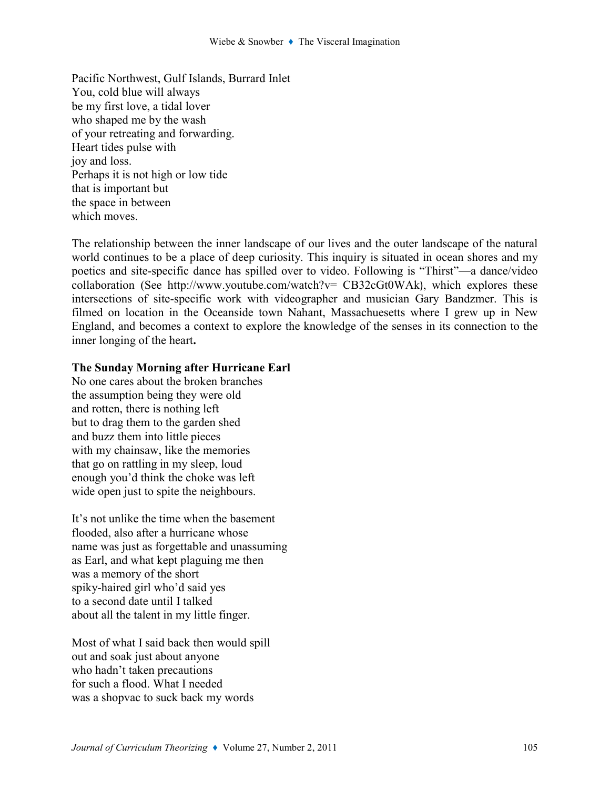Pacific Northwest, Gulf Islands, Burrard Inlet You, cold blue will always be my first love, a tidal lover who shaped me by the wash of your retreating and forwarding. Heart tides pulse with joy and loss. Perhaps it is not high or low tide that is important but the space in between which moves.

The relationship between the inner landscape of our lives and the outer landscape of the natural world continues to be a place of deep curiosity. This inquiry is situated in ocean shores and my poetics and site-specific dance has spilled over to video. Following is "Thirst"—a dance/video collaboration (See http://www.youtube.com/watch?v= CB32cGt0WAk), which explores these intersections of site-specific work with videographer and musician Gary Bandzmer. This is filmed on location in the Oceanside town Nahant, Massachuesetts where I grew up in New England, and becomes a context to explore the knowledge of the senses in its connection to the inner longing of the heart.

## The Sunday Morning after Hurricane Earl

No one cares about the broken branches the assumption being they were old and rotten, there is nothing left but to drag them to the garden shed and buzz them into little pieces with my chainsaw, like the memories that go on rattling in my sleep, loud enough you'd think the choke was left wide open just to spite the neighbours.

It's not unlike the time when the basement flooded, also after a hurricane whose name was just as forgettable and unassuming as Earl, and what kept plaguing me then was a memory of the short spiky-haired girl who'd said yes to a second date until I talked about all the talent in my little finger.

Most of what I said back then would spill out and soak just about anyone who hadn't taken precautions for such a flood. What I needed was a shopvac to suck back my words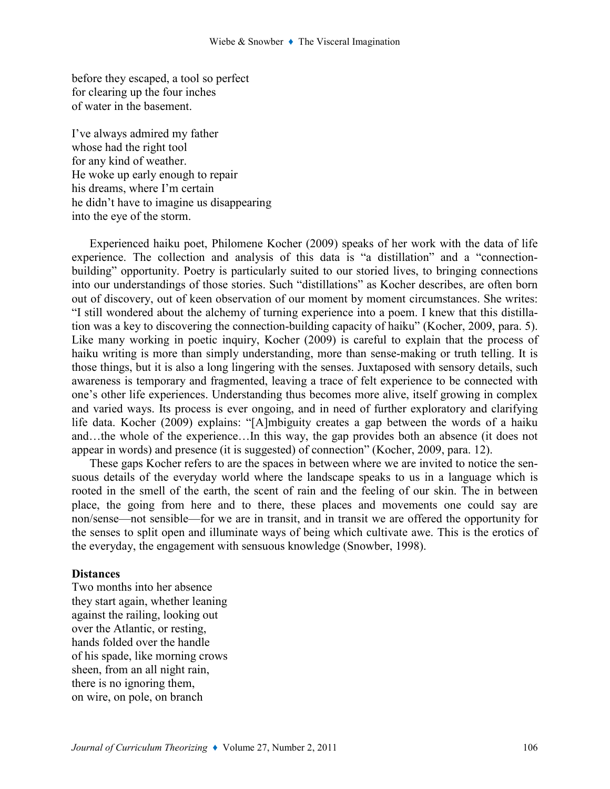before they escaped, a tool so perfect for clearing up the four inches of water in the basement.

I've always admired my father whose had the right tool for any kind of weather. He woke up early enough to repair his dreams, where I'm certain he didn't have to imagine us disappearing into the eye of the storm.

Experienced haiku poet, Philomene Kocher (2009) speaks of her work with the data of life experience. The collection and analysis of this data is "a distillation" and a "connectionbuilding" opportunity. Poetry is particularly suited to our storied lives, to bringing connections into our understandings of those stories. Such "distillations" as Kocher describes, are often born out of discovery, out of keen observation of our moment by moment circumstances. She writes: "I still wondered about the alchemy of turning experience into a poem. I knew that this distillation was a key to discovering the connection-building capacity of haiku" (Kocher, 2009, para. 5). Like many working in poetic inquiry, Kocher (2009) is careful to explain that the process of haiku writing is more than simply understanding, more than sense-making or truth telling. It is those things, but it is also a long lingering with the senses. Juxtaposed with sensory details, such awareness is temporary and fragmented, leaving a trace of felt experience to be connected with one's other life experiences. Understanding thus becomes more alive, itself growing in complex and varied ways. Its process is ever ongoing, and in need of further exploratory and clarifying life data. Kocher (2009) explains: "[A]mbiguity creates a gap between the words of a haiku and…the whole of the experience…In this way, the gap provides both an absence (it does not appear in words) and presence (it is suggested) of connection" (Kocher, 2009, para. 12).

These gaps Kocher refers to are the spaces in between where we are invited to notice the sensuous details of the everyday world where the landscape speaks to us in a language which is rooted in the smell of the earth, the scent of rain and the feeling of our skin. The in between place, the going from here and to there, these places and movements one could say are non/sense—not sensible—for we are in transit, and in transit we are offered the opportunity for the senses to split open and illuminate ways of being which cultivate awe. This is the erotics of the everyday, the engagement with sensuous knowledge (Snowber, 1998).

#### **Distances**

Two months into her absence they start again, whether leaning against the railing, looking out over the Atlantic, or resting, hands folded over the handle of his spade, like morning crows sheen, from an all night rain, there is no ignoring them, on wire, on pole, on branch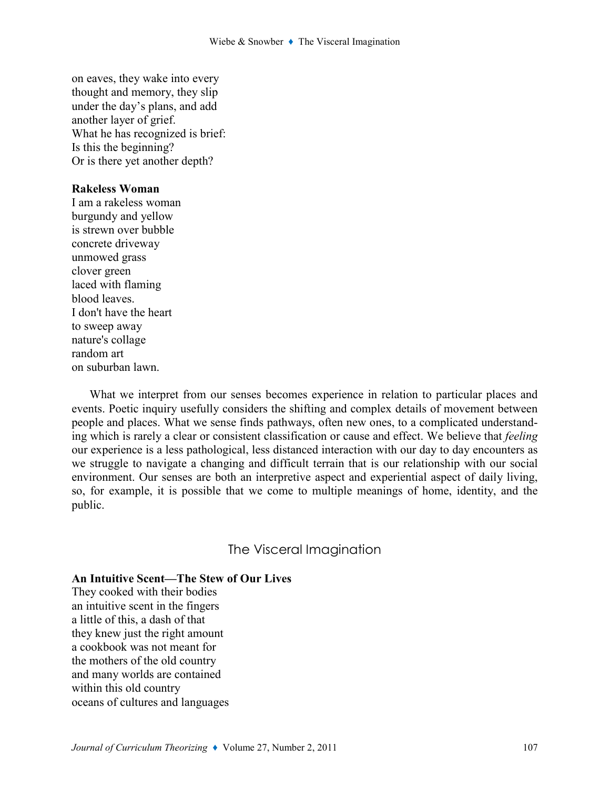on eaves, they wake into every thought and memory, they slip under the day's plans, and add another layer of grief. What he has recognized is brief: Is this the beginning? Or is there yet another depth?

### Rakeless Woman

I am a rakeless woman burgundy and yellow is strewn over bubble concrete driveway unmowed grass clover green laced with flaming blood leaves. I don't have the heart to sweep away nature's collage random art on suburban lawn.

What we interpret from our senses becomes experience in relation to particular places and events. Poetic inquiry usefully considers the shifting and complex details of movement between people and places. What we sense finds pathways, often new ones, to a complicated understanding which is rarely a clear or consistent classification or cause and effect. We believe that feeling our experience is a less pathological, less distanced interaction with our day to day encounters as we struggle to navigate a changing and difficult terrain that is our relationship with our social environment. Our senses are both an interpretive aspect and experiential aspect of daily living, so, for example, it is possible that we come to multiple meanings of home, identity, and the public.

## The Visceral Imagination

#### An Intuitive Scent—The Stew of Our Lives

They cooked with their bodies an intuitive scent in the fingers a little of this, a dash of that they knew just the right amount a cookbook was not meant for the mothers of the old country and many worlds are contained within this old country oceans of cultures and languages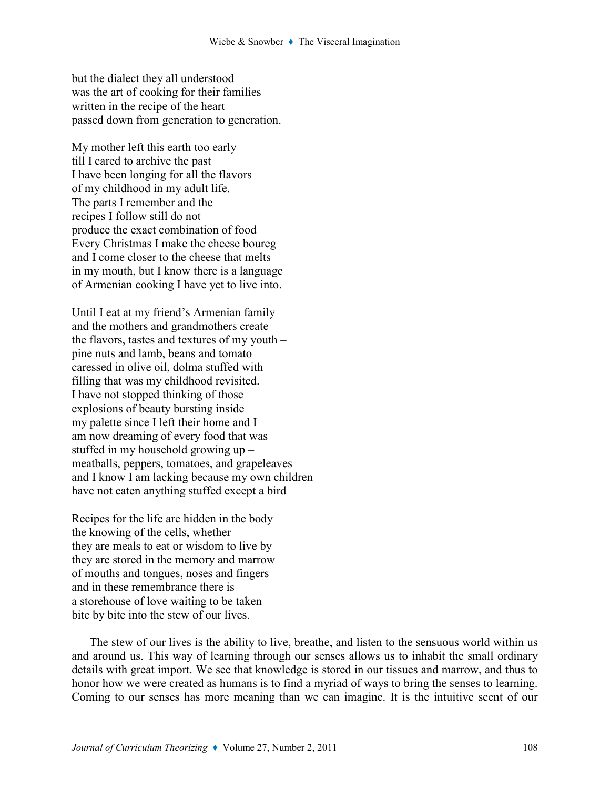but the dialect they all understood was the art of cooking for their families written in the recipe of the heart passed down from generation to generation.

My mother left this earth too early till I cared to archive the past I have been longing for all the flavors of my childhood in my adult life. The parts I remember and the recipes I follow still do not produce the exact combination of food Every Christmas I make the cheese boureg and I come closer to the cheese that melts in my mouth, but I know there is a language of Armenian cooking I have yet to live into.

Until I eat at my friend's Armenian family and the mothers and grandmothers create the flavors, tastes and textures of my youth – pine nuts and lamb, beans and tomato caressed in olive oil, dolma stuffed with filling that was my childhood revisited. I have not stopped thinking of those explosions of beauty bursting inside my palette since I left their home and I am now dreaming of every food that was stuffed in my household growing up – meatballs, peppers, tomatoes, and grapeleaves and I know I am lacking because my own children have not eaten anything stuffed except a bird

Recipes for the life are hidden in the body the knowing of the cells, whether they are meals to eat or wisdom to live by they are stored in the memory and marrow of mouths and tongues, noses and fingers and in these remembrance there is a storehouse of love waiting to be taken bite by bite into the stew of our lives.

The stew of our lives is the ability to live, breathe, and listen to the sensuous world within us and around us. This way of learning through our senses allows us to inhabit the small ordinary details with great import. We see that knowledge is stored in our tissues and marrow, and thus to honor how we were created as humans is to find a myriad of ways to bring the senses to learning. Coming to our senses has more meaning than we can imagine. It is the intuitive scent of our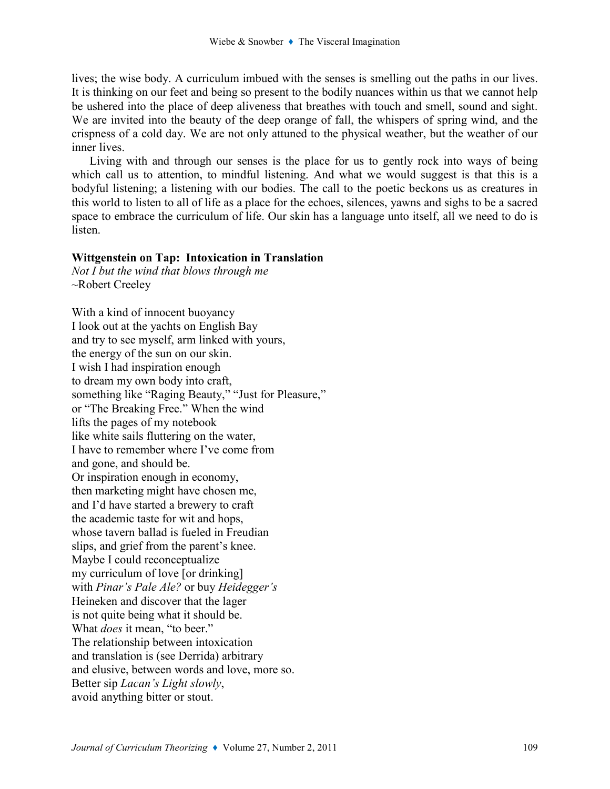lives; the wise body. A curriculum imbued with the senses is smelling out the paths in our lives. It is thinking on our feet and being so present to the bodily nuances within us that we cannot help be ushered into the place of deep aliveness that breathes with touch and smell, sound and sight. We are invited into the beauty of the deep orange of fall, the whispers of spring wind, and the crispness of a cold day. We are not only attuned to the physical weather, but the weather of our inner lives.

Living with and through our senses is the place for us to gently rock into ways of being which call us to attention, to mindful listening. And what we would suggest is that this is a bodyful listening; a listening with our bodies. The call to the poetic beckons us as creatures in this world to listen to all of life as a place for the echoes, silences, yawns and sighs to be a sacred space to embrace the curriculum of life. Our skin has a language unto itself, all we need to do is listen.

### Wittgenstein on Tap: Intoxication in Translation

Not I but the wind that blows through me ~Robert Creeley

With a kind of innocent buoyancy I look out at the yachts on English Bay and try to see myself, arm linked with yours, the energy of the sun on our skin. I wish I had inspiration enough to dream my own body into craft, something like "Raging Beauty," "Just for Pleasure," or "The Breaking Free." When the wind lifts the pages of my notebook like white sails fluttering on the water, I have to remember where I've come from and gone, and should be. Or inspiration enough in economy, then marketing might have chosen me, and I'd have started a brewery to craft the academic taste for wit and hops, whose tavern ballad is fueled in Freudian slips, and grief from the parent's knee. Maybe I could reconceptualize my curriculum of love [or drinking] with *Pinar's Pale Ale?* or buy *Heidegger's* Heineken and discover that the lager is not quite being what it should be. What *does* it mean, "to beer." The relationship between intoxication and translation is (see Derrida) arbitrary and elusive, between words and love, more so. Better sip Lacan's Light slowly, avoid anything bitter or stout.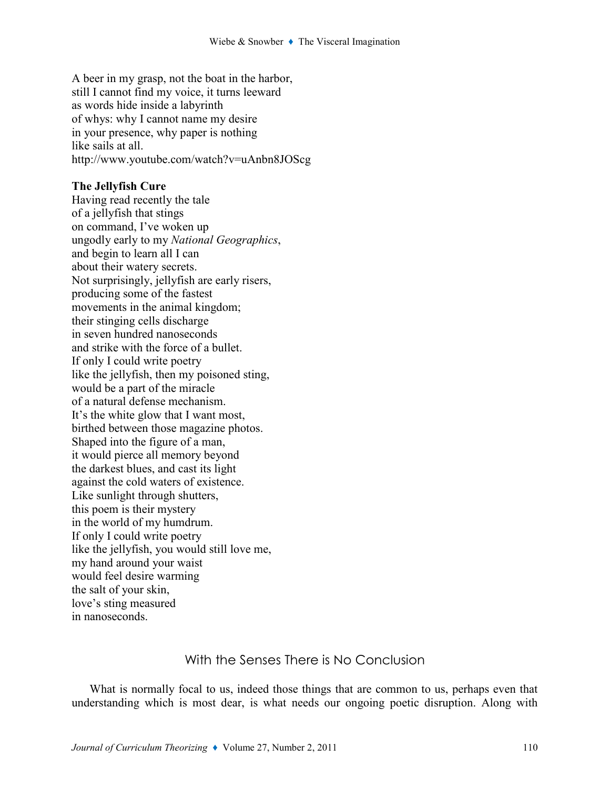A beer in my grasp, not the boat in the harbor, still I cannot find my voice, it turns leeward as words hide inside a labyrinth of whys: why I cannot name my desire in your presence, why paper is nothing like sails at all. http://www.youtube.com/watch?v=uAnbn8JOScg

#### The Jellyfish Cure

Having read recently the tale of a jellyfish that stings on command, I've woken up ungodly early to my National Geographics, and begin to learn all I can about their watery secrets. Not surprisingly, jellyfish are early risers, producing some of the fastest movements in the animal kingdom; their stinging cells discharge in seven hundred nanoseconds and strike with the force of a bullet. If only I could write poetry like the jellyfish, then my poisoned sting, would be a part of the miracle of a natural defense mechanism. It's the white glow that I want most, birthed between those magazine photos. Shaped into the figure of a man, it would pierce all memory beyond the darkest blues, and cast its light against the cold waters of existence. Like sunlight through shutters, this poem is their mystery in the world of my humdrum. If only I could write poetry like the jellyfish, you would still love me, my hand around your waist would feel desire warming the salt of your skin, love's sting measured in nanoseconds.

# With the Senses There is No Conclusion

What is normally focal to us, indeed those things that are common to us, perhaps even that understanding which is most dear, is what needs our ongoing poetic disruption. Along with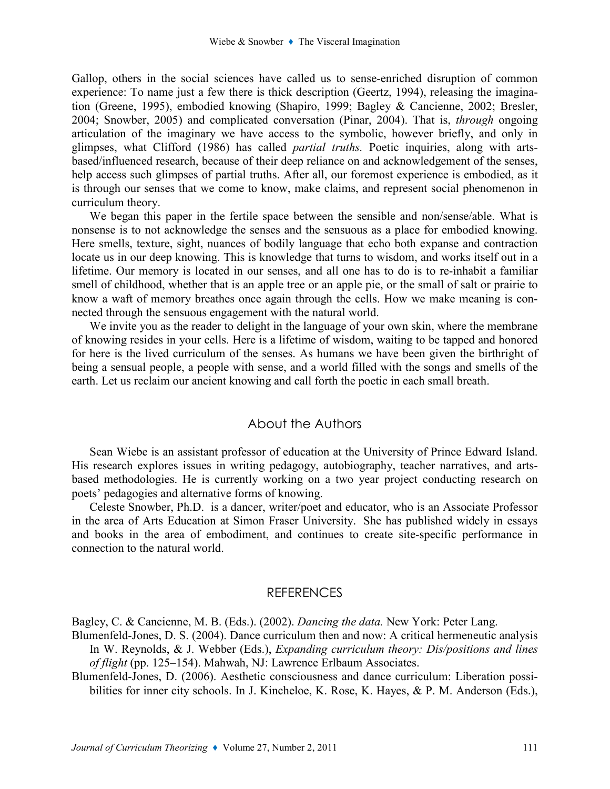Gallop, others in the social sciences have called us to sense-enriched disruption of common experience: To name just a few there is thick description (Geertz, 1994), releasing the imagination (Greene, 1995), embodied knowing (Shapiro, 1999; Bagley & Cancienne, 2002; Bresler, 2004; Snowber, 2005) and complicated conversation (Pinar, 2004). That is, through ongoing articulation of the imaginary we have access to the symbolic, however briefly, and only in glimpses, what Clifford (1986) has called partial truths. Poetic inquiries, along with artsbased/influenced research, because of their deep reliance on and acknowledgement of the senses, help access such glimpses of partial truths. After all, our foremost experience is embodied, as it is through our senses that we come to know, make claims, and represent social phenomenon in curriculum theory.

We began this paper in the fertile space between the sensible and non/sense/able. What is nonsense is to not acknowledge the senses and the sensuous as a place for embodied knowing. Here smells, texture, sight, nuances of bodily language that echo both expanse and contraction locate us in our deep knowing. This is knowledge that turns to wisdom, and works itself out in a lifetime. Our memory is located in our senses, and all one has to do is to re-inhabit a familiar smell of childhood, whether that is an apple tree or an apple pie, or the small of salt or prairie to know a waft of memory breathes once again through the cells. How we make meaning is connected through the sensuous engagement with the natural world.

We invite you as the reader to delight in the language of your own skin, where the membrane of knowing resides in your cells. Here is a lifetime of wisdom, waiting to be tapped and honored for here is the lived curriculum of the senses. As humans we have been given the birthright of being a sensual people, a people with sense, and a world filled with the songs and smells of the earth. Let us reclaim our ancient knowing and call forth the poetic in each small breath.

## About the Authors

Sean Wiebe is an assistant professor of education at the University of Prince Edward Island. His research explores issues in writing pedagogy, autobiography, teacher narratives, and artsbased methodologies. He is currently working on a two year project conducting research on poets' pedagogies and alternative forms of knowing.

Celeste Snowber, Ph.D. is a dancer, writer/poet and educator, who is an Associate Professor in the area of Arts Education at Simon Fraser University. She has published widely in essays and books in the area of embodiment, and continues to create site-specific performance in connection to the natural world.

## **REFERENCES**

Bagley, C. & Cancienne, M. B. (Eds.). (2002). Dancing the data. New York: Peter Lang.

Blumenfeld-Jones, D. S. (2004). Dance curriculum then and now: A critical hermeneutic analysis In W. Reynolds, & J. Webber (Eds.), *Expanding curriculum theory: Dis/positions and lines* of flight (pp. 125–154). Mahwah, NJ: Lawrence Erlbaum Associates.

Blumenfeld-Jones, D. (2006). Aesthetic consciousness and dance curriculum: Liberation possibilities for inner city schools. In J. Kincheloe, K. Rose, K. Hayes, & P. M. Anderson (Eds.),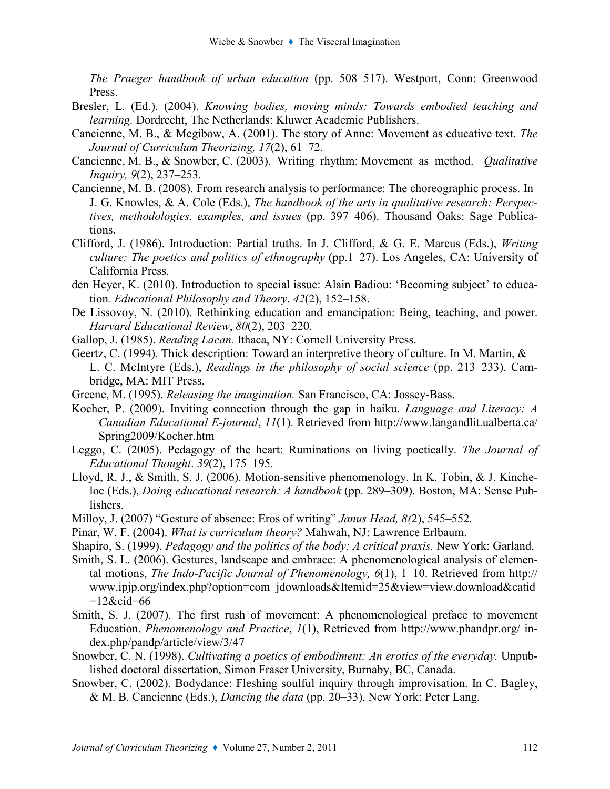The Praeger handbook of urban education (pp. 508–517). Westport, Conn: Greenwood Press.

- Bresler, L. (Ed.). (2004). Knowing bodies, moving minds: Towards embodied teaching and learning. Dordrecht, The Netherlands: Kluwer Academic Publishers.
- Cancienne, M. B., & Megibow, A. (2001). The story of Anne: Movement as educative text. The Journal of Curriculum Theorizing, 17(2), 61–72.
- Cancienne, M. B., & Snowber, C. (2003). Writing rhythm: Movement as method. Qualitative Inquiry, 9(2), 237–253.
- Cancienne, M. B. (2008). From research analysis to performance: The choreographic process. In J. G. Knowles, & A. Cole (Eds.), The handbook of the arts in qualitative research: Perspectives, methodologies, examples, and issues (pp. 397–406). Thousand Oaks: Sage Publications.
- Clifford, J. (1986). Introduction: Partial truths. In J. Clifford, & G. E. Marcus (Eds.), Writing culture: The poetics and politics of ethnography (pp.1–27). Los Angeles, CA: University of California Press.
- den Heyer, K. (2010). Introduction to special issue: Alain Badiou: 'Becoming subject' to education. Educational Philosophy and Theory, 42(2), 152–158.
- De Lissovoy, N. (2010). Rethinking education and emancipation: Being, teaching, and power. Harvard Educational Review, 80(2), 203–220.
- Gallop, J. (1985). Reading Lacan. Ithaca, NY: Cornell University Press.
- Geertz, C. (1994). Thick description: Toward an interpretive theory of culture. In M. Martin, & L. C. McIntyre (Eds.), Readings in the philosophy of social science (pp. 213–233). Cambridge, MA: MIT Press.
- Greene, M. (1995). Releasing the imagination. San Francisco, CA: Jossey-Bass.
- Kocher, P. (2009). Inviting connection through the gap in haiku. Language and Literacy: A Canadian Educational E-journal, 11(1). Retrieved from http://www.langandlit.ualberta.ca/ Spring2009/Kocher.htm
- Leggo, C. (2005). Pedagogy of the heart: Ruminations on living poetically. The Journal of Educational Thought. 39(2), 175–195.
- Lloyd, R. J., & Smith, S. J. (2006). Motion-sensitive phenomenology. In K. Tobin, & J. Kincheloe (Eds.), *Doing educational research: A handbook* (pp. 289–309). Boston, MA: Sense Publishers.
- Milloy, J. (2007) "Gesture of absence: Eros of writing" Janus Head, 8(2), 545–552.
- Pinar, W. F. (2004). What is curriculum theory? Mahwah, NJ: Lawrence Erlbaum.
- Shapiro, S. (1999). Pedagogy and the politics of the body: A critical praxis. New York: Garland.
- Smith, S. L. (2006). Gestures, landscape and embrace: A phenomenological analysis of elemental motions, The Indo-Pacific Journal of Phenomenology,  $6(1)$ , 1–10. Retrieved from http:// www.ipjp.org/index.php?option=com\_jdownloads&Itemid=25&view=view.download&catid  $=12$ &cid=66
- Smith, S. J. (2007). The first rush of movement: A phenomenological preface to movement Education. Phenomenology and Practice, 1(1), Retrieved from http://www.phandpr.org/ index.php/pandp/article/view/3/47
- Snowber, C. N. (1998). Cultivating a poetics of embodiment: An erotics of the everyday. Unpublished doctoral dissertation, Simon Fraser University, Burnaby, BC, Canada.
- Snowber, C. (2002). Bodydance: Fleshing soulful inquiry through improvisation. In C. Bagley, & M. B. Cancienne (Eds.), Dancing the data (pp. 20–33). New York: Peter Lang.